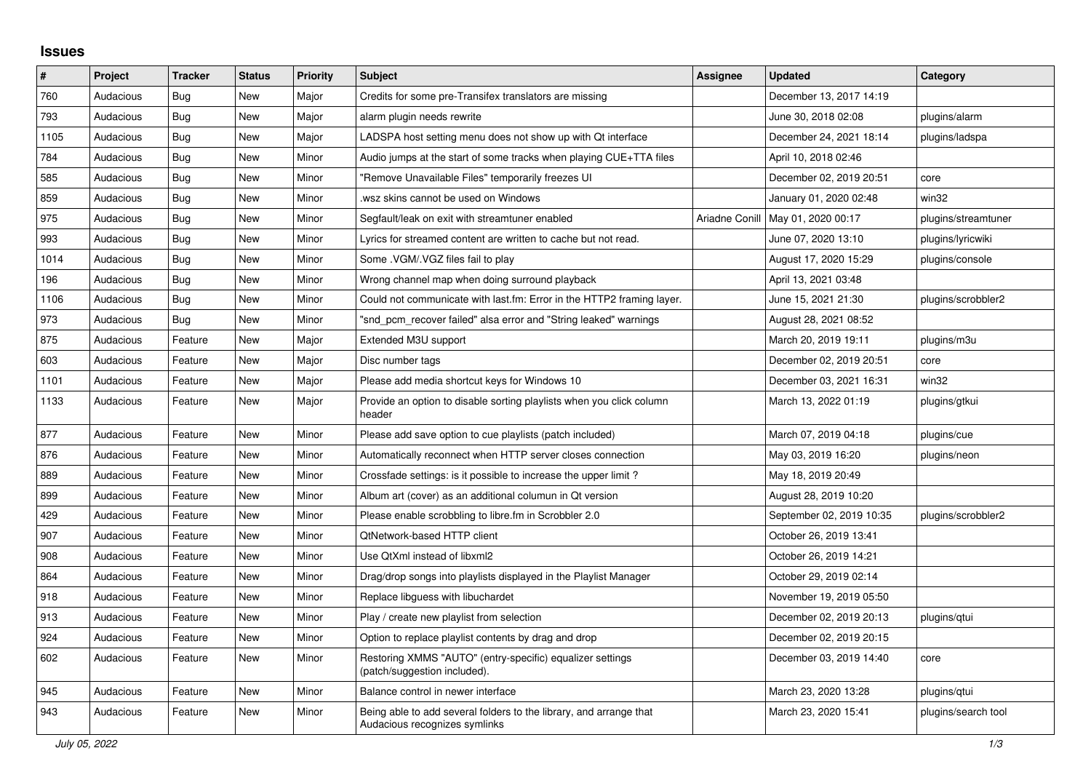## **Issues**

| ∦    | Project   | <b>Tracker</b> | <b>Status</b> | <b>Priority</b> | <b>Subject</b>                                                                                      | <b>Assignee</b> | <b>Updated</b>           | Category            |
|------|-----------|----------------|---------------|-----------------|-----------------------------------------------------------------------------------------------------|-----------------|--------------------------|---------------------|
| 760  | Audacious | <b>Bug</b>     | <b>New</b>    | Major           | Credits for some pre-Transifex translators are missing                                              |                 | December 13, 2017 14:19  |                     |
| 793  | Audacious | Bug            | <b>New</b>    | Major           | alarm plugin needs rewrite                                                                          |                 | June 30, 2018 02:08      | plugins/alarm       |
| 1105 | Audacious | <b>Bug</b>     | <b>New</b>    | Major           | LADSPA host setting menu does not show up with Qt interface                                         |                 | December 24, 2021 18:14  | plugins/ladspa      |
| 784  | Audacious | <b>Bug</b>     | <b>New</b>    | Minor           | Audio jumps at the start of some tracks when playing CUE+TTA files                                  |                 | April 10, 2018 02:46     |                     |
| 585  | Audacious | Bug            | New           | Minor           | "Remove Unavailable Files" temporarily freezes UI                                                   |                 | December 02, 2019 20:51  | core                |
| 859  | Audacious | Bug            | <b>New</b>    | Minor           | wsz skins cannot be used on Windows                                                                 |                 | January 01, 2020 02:48   | win32               |
| 975  | Audacious | <b>Bug</b>     | <b>New</b>    | Minor           | Segfault/leak on exit with streamtuner enabled                                                      | Ariadne Conill  | May 01, 2020 00:17       | plugins/streamtuner |
| 993  | Audacious | Bug            | New           | Minor           | Lyrics for streamed content are written to cache but not read.                                      |                 | June 07, 2020 13:10      | plugins/lyricwiki   |
| 1014 | Audacious | Bug            | <b>New</b>    | Minor           | Some .VGM/.VGZ files fail to play                                                                   |                 | August 17, 2020 15:29    | plugins/console     |
| 196  | Audacious | <b>Bug</b>     | <b>New</b>    | Minor           | Wrong channel map when doing surround playback                                                      |                 | April 13, 2021 03:48     |                     |
| 1106 | Audacious | <b>Bug</b>     | <b>New</b>    | Minor           | Could not communicate with last.fm: Error in the HTTP2 framing layer.                               |                 | June 15, 2021 21:30      | plugins/scrobbler2  |
| 973  | Audacious | Bug            | <b>New</b>    | Minor           | "snd pcm recover failed" alsa error and "String leaked" warnings                                    |                 | August 28, 2021 08:52    |                     |
| 875  | Audacious | Feature        | <b>New</b>    | Major           | Extended M3U support                                                                                |                 | March 20, 2019 19:11     | plugins/m3u         |
| 603  | Audacious | Feature        | <b>New</b>    | Major           | Disc number tags                                                                                    |                 | December 02, 2019 20:51  | core                |
| 1101 | Audacious | Feature        | New           | Major           | Please add media shortcut keys for Windows 10                                                       |                 | December 03, 2021 16:31  | win32               |
| 1133 | Audacious | Feature        | <b>New</b>    | Major           | Provide an option to disable sorting playlists when you click column<br>header                      |                 | March 13, 2022 01:19     | plugins/gtkui       |
| 877  | Audacious | Feature        | New           | Minor           | Please add save option to cue playlists (patch included)                                            |                 | March 07, 2019 04:18     | plugins/cue         |
| 876  | Audacious | Feature        | <b>New</b>    | Minor           | Automatically reconnect when HTTP server closes connection                                          |                 | May 03, 2019 16:20       | plugins/neon        |
| 889  | Audacious | Feature        | <b>New</b>    | Minor           | Crossfade settings: is it possible to increase the upper limit?                                     |                 | May 18, 2019 20:49       |                     |
| 899  | Audacious | Feature        | New           | Minor           | Album art (cover) as an additional columun in Qt version                                            |                 | August 28, 2019 10:20    |                     |
| 429  | Audacious | Feature        | New           | Minor           | Please enable scrobbling to libre.fm in Scrobbler 2.0                                               |                 | September 02, 2019 10:35 | plugins/scrobbler2  |
| 907  | Audacious | Feature        | <b>New</b>    | Minor           | <b>QtNetwork-based HTTP client</b>                                                                  |                 | October 26, 2019 13:41   |                     |
| 908  | Audacious | Feature        | <b>New</b>    | Minor           | Use QtXml instead of libxml2                                                                        |                 | October 26, 2019 14:21   |                     |
| 864  | Audacious | Feature        | New           | Minor           | Drag/drop songs into playlists displayed in the Playlist Manager                                    |                 | October 29, 2019 02:14   |                     |
| 918  | Audacious | Feature        | <b>New</b>    | Minor           | Replace libguess with libuchardet                                                                   |                 | November 19, 2019 05:50  |                     |
| 913  | Audacious | Feature        | <b>New</b>    | Minor           | Play / create new playlist from selection                                                           |                 | December 02, 2019 20:13  | plugins/qtui        |
| 924  | Audacious | Feature        | New           | Minor           | Option to replace playlist contents by drag and drop                                                |                 | December 02, 2019 20:15  |                     |
| 602  | Audacious | Feature        | <b>New</b>    | Minor           | Restoring XMMS "AUTO" (entry-specific) equalizer settings<br>(patch/suggestion included).           |                 | December 03, 2019 14:40  | core                |
| 945  | Audacious | Feature        | New           | Minor           | Balance control in newer interface                                                                  |                 | March 23, 2020 13:28     | plugins/qtui        |
| 943  | Audacious | Feature        | New           | Minor           | Being able to add several folders to the library, and arrange that<br>Audacious recognizes symlinks |                 | March 23, 2020 15:41     | plugins/search tool |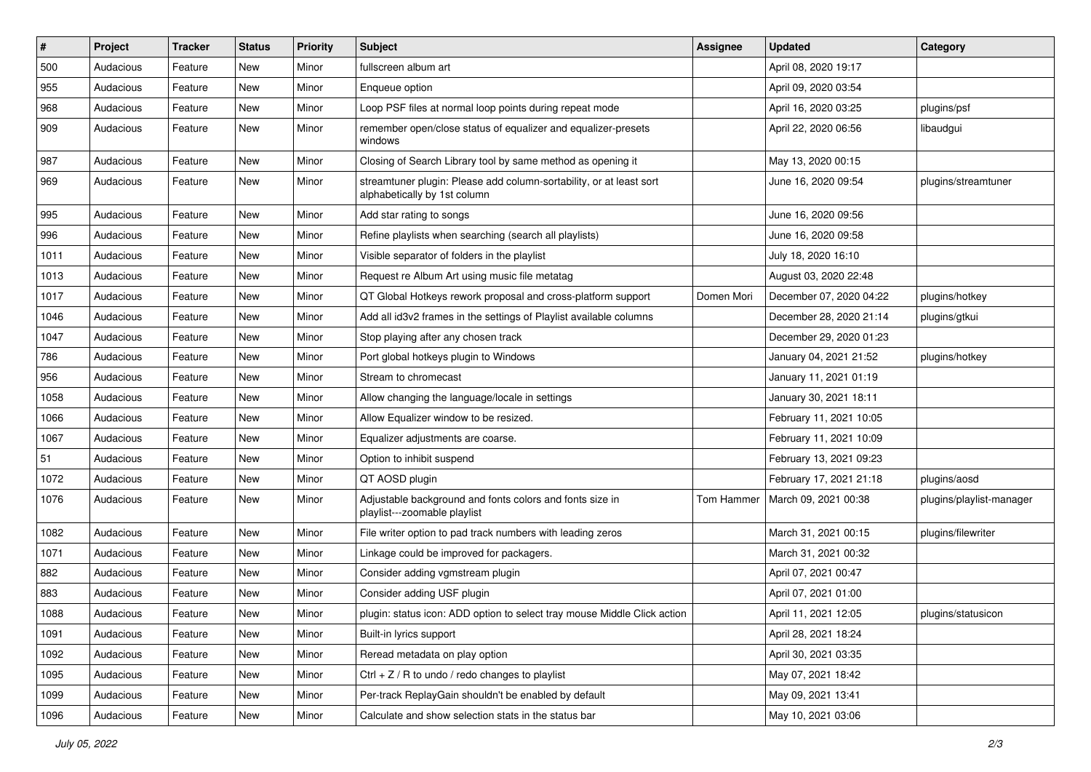| $\vert$ # | Project   | <b>Tracker</b> | <b>Status</b> | <b>Priority</b> | <b>Subject</b>                                                                                      | <b>Assignee</b> | <b>Updated</b>          | Category                  |
|-----------|-----------|----------------|---------------|-----------------|-----------------------------------------------------------------------------------------------------|-----------------|-------------------------|---------------------------|
| 500       | Audacious | Feature        | New           | Minor           | fullscreen album art                                                                                |                 | April 08, 2020 19:17    |                           |
| 955       | Audacious | Feature        | <b>New</b>    | Minor           | Enqueue option                                                                                      |                 | April 09, 2020 03:54    |                           |
| 968       | Audacious | Feature        | New           | Minor           | Loop PSF files at normal loop points during repeat mode                                             |                 | April 16, 2020 03:25    | plugins/psf               |
| 909       | Audacious | Feature        | New           | Minor           | remember open/close status of equalizer and equalizer-presets<br>windows                            |                 | April 22, 2020 06:56    | libaudgui                 |
| 987       | Audacious | Feature        | New           | Minor           | Closing of Search Library tool by same method as opening it                                         |                 | May 13, 2020 00:15      |                           |
| 969       | Audacious | Feature        | New           | Minor           | streamtuner plugin: Please add column-sortability, or at least sort<br>alphabetically by 1st column |                 | June 16, 2020 09:54     | plugins/streamtuner       |
| 995       | Audacious | Feature        | <b>New</b>    | Minor           | Add star rating to songs                                                                            |                 | June 16, 2020 09:56     |                           |
| 996       | Audacious | Feature        | <b>New</b>    | Minor           | Refine playlists when searching (search all playlists)                                              |                 | June 16, 2020 09:58     |                           |
| 1011      | Audacious | Feature        | New           | Minor           | Visible separator of folders in the playlist                                                        |                 | July 18, 2020 16:10     |                           |
| 1013      | Audacious | Feature        | New           | Minor           | Request re Album Art using music file metatag                                                       |                 | August 03, 2020 22:48   |                           |
| 1017      | Audacious | Feature        | New           | Minor           | QT Global Hotkeys rework proposal and cross-platform support                                        | Domen Mori      | December 07, 2020 04:22 | plugins/hotkey            |
| 1046      | Audacious | Feature        | New           | Minor           | Add all id3v2 frames in the settings of Playlist available columns                                  |                 | December 28, 2020 21:14 | plugins/gtkui             |
| 1047      | Audacious | Feature        | <b>New</b>    | Minor           | Stop playing after any chosen track                                                                 |                 | December 29, 2020 01:23 |                           |
| 786       | Audacious | Feature        | New           | Minor           | Port global hotkeys plugin to Windows                                                               |                 | January 04, 2021 21:52  | plugins/hotkey            |
| 956       | Audacious | Feature        | New           | Minor           | Stream to chromecast                                                                                |                 | January 11, 2021 01:19  |                           |
| 1058      | Audacious | Feature        | <b>New</b>    | Minor           | Allow changing the language/locale in settings                                                      |                 | January 30, 2021 18:11  |                           |
| 1066      | Audacious | Feature        | New           | Minor           | Allow Equalizer window to be resized.                                                               |                 | February 11, 2021 10:05 |                           |
| 1067      | Audacious | Feature        | New           | Minor           | Equalizer adjustments are coarse.                                                                   |                 | February 11, 2021 10:09 |                           |
| 51        | Audacious | Feature        | New           | Minor           | Option to inhibit suspend                                                                           |                 | February 13, 2021 09:23 |                           |
| 1072      | Audacious | Feature        | New           | Minor           | QT AOSD plugin                                                                                      |                 | February 17, 2021 21:18 | plugins/aosd              |
| 1076      | Audacious | Feature        | New           | Minor           | Adjustable background and fonts colors and fonts size in<br>playlist---zoomable playlist            | Tom Hammer      | March 09, 2021 00:38    | plugins/playlist-manager  |
| 1082      | Audacious | Feature        | New           | Minor           | File writer option to pad track numbers with leading zeros                                          |                 | March 31, 2021 00:15    | plugins/filewriter        |
| 1071      | Audacious | Feature        | New           | Minor           | Linkage could be improved for packagers.                                                            |                 | March 31, 2021 00:32    |                           |
| 882       | Audacious | Feature        | New           | Minor           | Consider adding vgmstream plugin                                                                    |                 | April 07, 2021 00:47    |                           |
| 883       | Audacious | Feature        | <b>New</b>    | Minor           | Consider adding USF plugin                                                                          |                 | April 07, 2021 01:00    |                           |
| 1088      | Audacious | Feature        | New           | Minor           | plugin: status icon: ADD option to select tray mouse Middle Click action                            |                 | April 11, 2021 12:05    | plugins/statusicon<br>- ಲ |
| 1091      | Audacious | Feature        | New           | Minor           | Built-in lyrics support                                                                             |                 | April 28, 2021 18:24    |                           |
| 1092      | Audacious | Feature        | New           | Minor           | Reread metadata on play option                                                                      |                 | April 30, 2021 03:35    |                           |
| 1095      | Audacious | Feature        | New           | Minor           | $Ctrl + Z / R$ to undo / redo changes to playlist                                                   |                 | May 07, 2021 18:42      |                           |
| 1099      | Audacious | Feature        | New           | Minor           | Per-track ReplayGain shouldn't be enabled by default                                                |                 | May 09, 2021 13:41      |                           |
| 1096      | Audacious | Feature        | New           | Minor           | Calculate and show selection stats in the status bar                                                |                 | May 10, 2021 03:06      |                           |